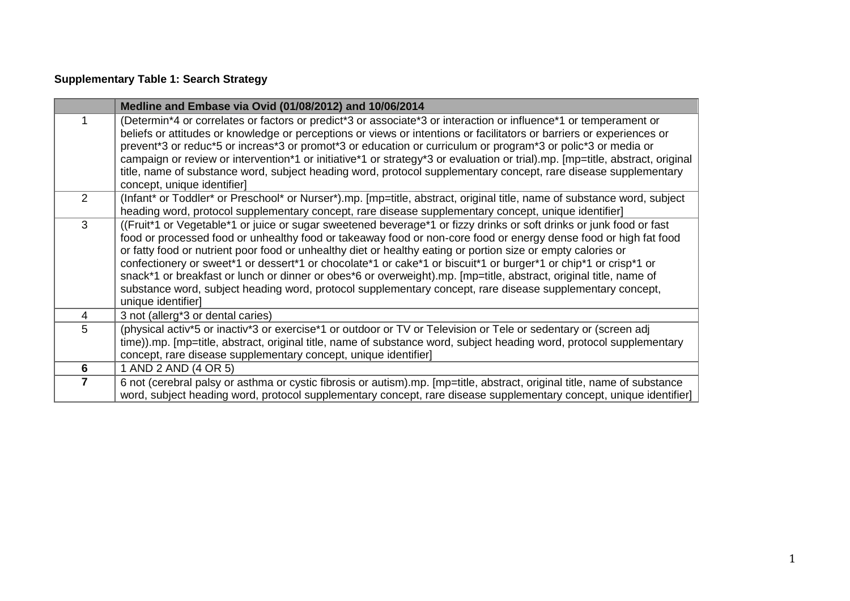## **Supplementary Table 1: Search Strategy**

|                | Medline and Embase via Ovid (01/08/2012) and 10/06/2014                                                                                                                                                                                                                                                                                                                                                                                                                                                                                                                                                                                                                                                                            |
|----------------|------------------------------------------------------------------------------------------------------------------------------------------------------------------------------------------------------------------------------------------------------------------------------------------------------------------------------------------------------------------------------------------------------------------------------------------------------------------------------------------------------------------------------------------------------------------------------------------------------------------------------------------------------------------------------------------------------------------------------------|
|                | (Determin*4 or correlates or factors or predict*3 or associate*3 or interaction or influence*1 or temperament or<br>beliefs or attitudes or knowledge or perceptions or views or intentions or facilitators or barriers or experiences or<br>prevent*3 or reduc*5 or increas*3 or promot*3 or education or curriculum or program*3 or polic*3 or media or<br>campaign or review or intervention*1 or initiative*1 or strategy*3 or evaluation or trial).mp. [mp=title, abstract, original<br>title, name of substance word, subject heading word, protocol supplementary concept, rare disease supplementary<br>concept, unique identifier]                                                                                        |
| 2              | (Infant* or Toddler* or Preschool* or Nurser*).mp. [mp=title, abstract, original title, name of substance word, subject<br>heading word, protocol supplementary concept, rare disease supplementary concept, unique identifier]                                                                                                                                                                                                                                                                                                                                                                                                                                                                                                    |
| 3              | ((Fruit*1 or Vegetable*1 or juice or sugar sweetened beverage*1 or fizzy drinks or soft drinks or junk food or fast<br>food or processed food or unhealthy food or takeaway food or non-core food or energy dense food or high fat food<br>or fatty food or nutrient poor food or unhealthy diet or healthy eating or portion size or empty calories or<br>confectionery or sweet*1 or dessert*1 or chocolate*1 or cake*1 or biscuit*1 or burger*1 or chip*1 or crisp*1 or<br>snack*1 or breakfast or lunch or dinner or obes*6 or overweight).mp. [mp=title, abstract, original title, name of<br>substance word, subject heading word, protocol supplementary concept, rare disease supplementary concept,<br>unique identifier] |
| $\overline{4}$ | 3 not (allerg*3 or dental caries)                                                                                                                                                                                                                                                                                                                                                                                                                                                                                                                                                                                                                                                                                                  |
| 5              | (physical activ*5 or inactiv*3 or exercise*1 or outdoor or TV or Television or Tele or sedentary or (screen adj<br>time)).mp. [mp=title, abstract, original title, name of substance word, subject heading word, protocol supplementary<br>concept, rare disease supplementary concept, unique identifier]                                                                                                                                                                                                                                                                                                                                                                                                                         |
| $6\phantom{1}$ | 1 AND 2 AND (4 OR 5)                                                                                                                                                                                                                                                                                                                                                                                                                                                                                                                                                                                                                                                                                                               |
| $\overline{7}$ | 6 not (cerebral palsy or asthma or cystic fibrosis or autism).mp. [mp=title, abstract, original title, name of substance<br>word, subject heading word, protocol supplementary concept, rare disease supplementary concept, unique identifier]                                                                                                                                                                                                                                                                                                                                                                                                                                                                                     |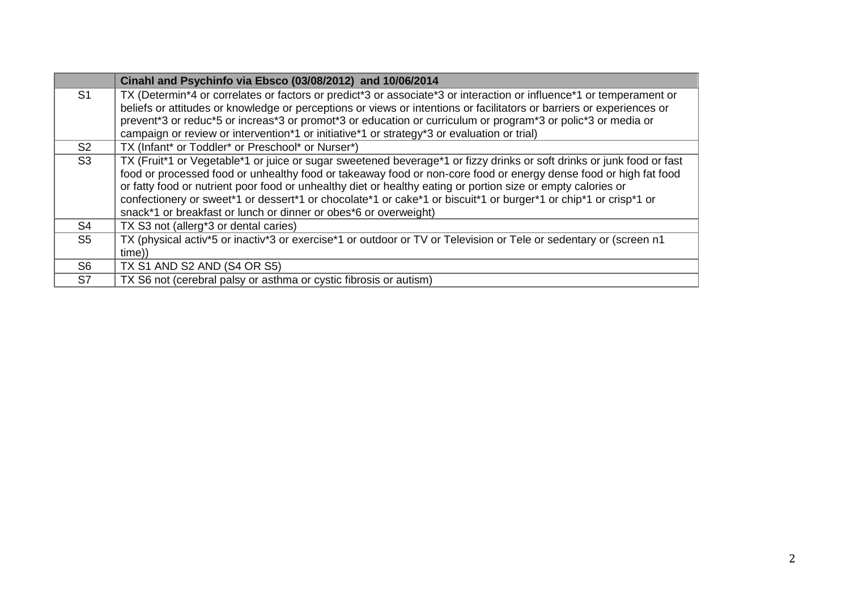|                | Cinahl and Psychinfo via Ebsco (03/08/2012) and 10/06/2014                                                                                                                                                                                                                                                                                                                                                                                                                                                                                       |
|----------------|--------------------------------------------------------------------------------------------------------------------------------------------------------------------------------------------------------------------------------------------------------------------------------------------------------------------------------------------------------------------------------------------------------------------------------------------------------------------------------------------------------------------------------------------------|
| S <sub>1</sub> | TX (Determin*4 or correlates or factors or predict*3 or associate*3 or interaction or influence*1 or temperament or<br>beliefs or attitudes or knowledge or perceptions or views or intentions or facilitators or barriers or experiences or<br>prevent*3 or reduc*5 or increas*3 or promot*3 or education or curriculum or program*3 or polic*3 or media or<br>campaign or review or intervention*1 or initiative*1 or strategy*3 or evaluation or trial)                                                                                       |
| S <sub>2</sub> | TX (Infant* or Toddler* or Preschool* or Nurser*)                                                                                                                                                                                                                                                                                                                                                                                                                                                                                                |
| S3             | TX (Fruit*1 or Vegetable*1 or juice or sugar sweetened beverage*1 or fizzy drinks or soft drinks or junk food or fast<br>food or processed food or unhealthy food or takeaway food or non-core food or energy dense food or high fat food<br>or fatty food or nutrient poor food or unhealthy diet or healthy eating or portion size or empty calories or<br>confectionery or sweet*1 or dessert*1 or chocolate*1 or cake*1 or biscuit*1 or burger*1 or chip*1 or crisp*1 or<br>snack*1 or breakfast or lunch or dinner or obes*6 or overweight) |
| S <sub>4</sub> | TX S3 not (allerg <sup>*</sup> 3 or dental caries)                                                                                                                                                                                                                                                                                                                                                                                                                                                                                               |
| S <sub>5</sub> | TX (physical activ*5 or inactiv*3 or exercise*1 or outdoor or TV or Television or Tele or sedentary or (screen n1<br>time))                                                                                                                                                                                                                                                                                                                                                                                                                      |
| S <sub>6</sub> | TX S1 AND S2 AND (S4 OR S5)                                                                                                                                                                                                                                                                                                                                                                                                                                                                                                                      |
| S7             | TX S6 not (cerebral palsy or asthma or cystic fibrosis or autism)                                                                                                                                                                                                                                                                                                                                                                                                                                                                                |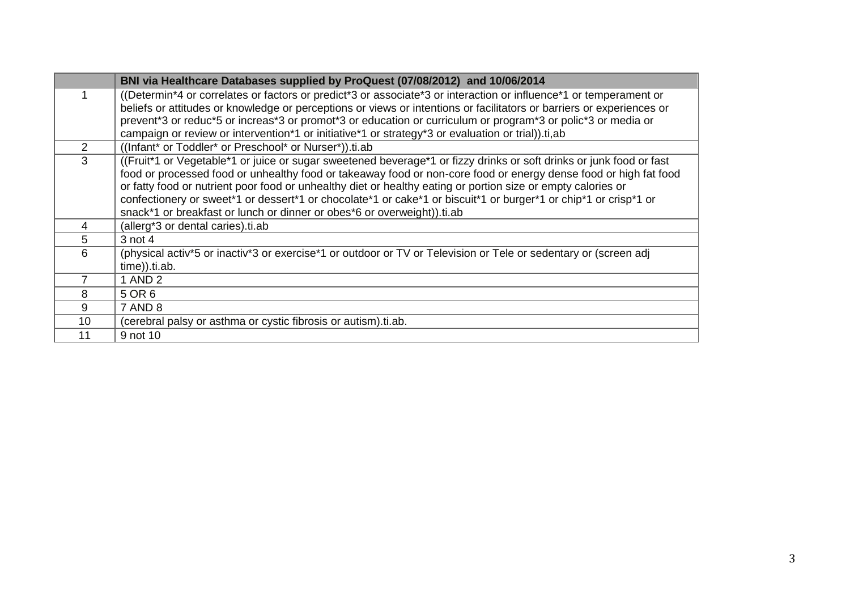|                | BNI via Healthcare Databases supplied by ProQuest (07/08/2012) and 10/06/2014                                                                                                                                                                                                                                                                                                                                                                                                                                                                         |
|----------------|-------------------------------------------------------------------------------------------------------------------------------------------------------------------------------------------------------------------------------------------------------------------------------------------------------------------------------------------------------------------------------------------------------------------------------------------------------------------------------------------------------------------------------------------------------|
|                | ((Determin*4 or correlates or factors or predict*3 or associate*3 or interaction or influence*1 or temperament or<br>beliefs or attitudes or knowledge or perceptions or views or intentions or facilitators or barriers or experiences or<br>prevent*3 or reduc*5 or increas*3 or promot*3 or education or curriculum or program*3 or polic*3 or media or<br>campaign or review or intervention*1 or initiative*1 or strategy*3 or evaluation or trial)).ti,ab                                                                                       |
| $\overline{2}$ | ((Infant* or Toddler* or Preschool* or Nurser*)).ti.ab                                                                                                                                                                                                                                                                                                                                                                                                                                                                                                |
| 3              | ((Fruit*1 or Vegetable*1 or juice or sugar sweetened beverage*1 or fizzy drinks or soft drinks or junk food or fast<br>food or processed food or unhealthy food or takeaway food or non-core food or energy dense food or high fat food<br>or fatty food or nutrient poor food or unhealthy diet or healthy eating or portion size or empty calories or<br>confectionery or sweet*1 or dessert*1 or chocolate*1 or cake*1 or biscuit*1 or burger*1 or chip*1 or crisp*1 or<br>snack*1 or breakfast or lunch or dinner or obes*6 or overweight)).ti.ab |
| 4              | (allerg*3 or dental caries).ti.ab                                                                                                                                                                                                                                                                                                                                                                                                                                                                                                                     |
| 5              | $3$ not 4                                                                                                                                                                                                                                                                                                                                                                                                                                                                                                                                             |
| 6              | (physical activ*5 or inactiv*3 or exercise*1 or outdoor or TV or Television or Tele or sedentary or (screen adj<br>time)).ti.ab.                                                                                                                                                                                                                                                                                                                                                                                                                      |
|                | 1 AND 2                                                                                                                                                                                                                                                                                                                                                                                                                                                                                                                                               |
| 8              | 5 OR 6                                                                                                                                                                                                                                                                                                                                                                                                                                                                                                                                                |
| 9              | 7 AND 8                                                                                                                                                                                                                                                                                                                                                                                                                                                                                                                                               |
| 10             | (cerebral palsy or asthma or cystic fibrosis or autism).ti.ab.                                                                                                                                                                                                                                                                                                                                                                                                                                                                                        |
| 11             | 9 not 10                                                                                                                                                                                                                                                                                                                                                                                                                                                                                                                                              |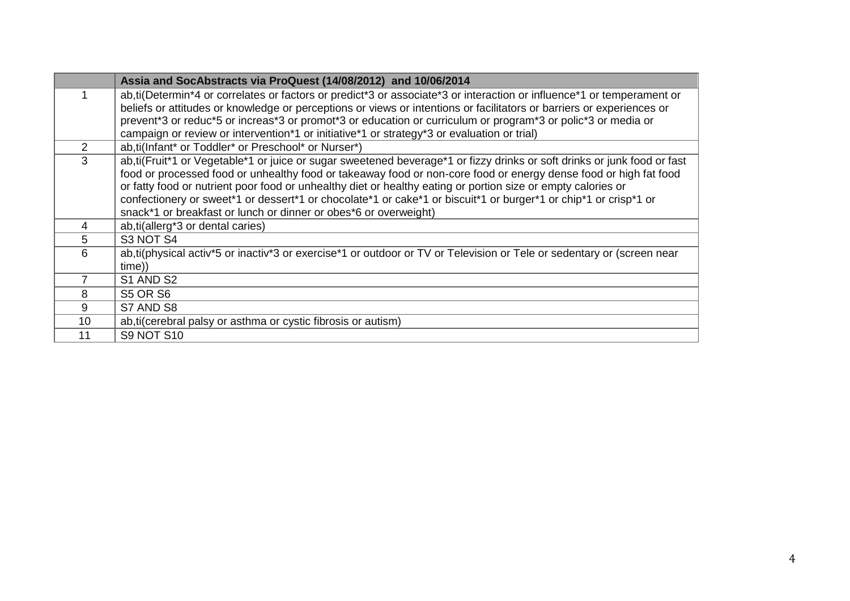|                | Assia and SocAbstracts via ProQuest (14/08/2012) and 10/06/2014                                                                                                                                                                                                                                                                                                                                                                                                                                                                                     |
|----------------|-----------------------------------------------------------------------------------------------------------------------------------------------------------------------------------------------------------------------------------------------------------------------------------------------------------------------------------------------------------------------------------------------------------------------------------------------------------------------------------------------------------------------------------------------------|
|                | ab, ti(Determin*4 or correlates or factors or predict*3 or associate*3 or interaction or influence*1 or temperament or<br>beliefs or attitudes or knowledge or perceptions or views or intentions or facilitators or barriers or experiences or<br>prevent*3 or reduc*5 or increas*3 or promot*3 or education or curriculum or program*3 or polic*3 or media or<br>campaign or review or intervention*1 or initiative*1 or strategy*3 or evaluation or trial)                                                                                       |
| $\overline{2}$ | ab, ti(Infant* or Toddler* or Preschool* or Nurser*)                                                                                                                                                                                                                                                                                                                                                                                                                                                                                                |
| 3              | ab, ti(Fruit*1 or Vegetable*1 or juice or sugar sweetened beverage*1 or fizzy drinks or soft drinks or junk food or fast<br>food or processed food or unhealthy food or takeaway food or non-core food or energy dense food or high fat food<br>or fatty food or nutrient poor food or unhealthy diet or healthy eating or portion size or empty calories or<br>confectionery or sweet*1 or dessert*1 or chocolate*1 or cake*1 or biscuit*1 or burger*1 or chip*1 or crisp*1 or<br>snack*1 or breakfast or lunch or dinner or obes*6 or overweight) |
| 4              | ab, ti(allerg <sup>*</sup> 3 or dental caries)                                                                                                                                                                                                                                                                                                                                                                                                                                                                                                      |
| 5              | S3 NOT S4                                                                                                                                                                                                                                                                                                                                                                                                                                                                                                                                           |
| 6              | ab, ti(physical activ*5 or inactiv*3 or exercise*1 or outdoor or TV or Television or Tele or sedentary or (screen near<br>time))                                                                                                                                                                                                                                                                                                                                                                                                                    |
|                | S1 AND S2                                                                                                                                                                                                                                                                                                                                                                                                                                                                                                                                           |
| 8              | <b>S5 OR S6</b>                                                                                                                                                                                                                                                                                                                                                                                                                                                                                                                                     |
| 9              | S7 AND S8                                                                                                                                                                                                                                                                                                                                                                                                                                                                                                                                           |
| 10             | ab, ti(cerebral palsy or asthma or cystic fibrosis or autism)                                                                                                                                                                                                                                                                                                                                                                                                                                                                                       |
| 11             | <b>S9 NOT S10</b>                                                                                                                                                                                                                                                                                                                                                                                                                                                                                                                                   |